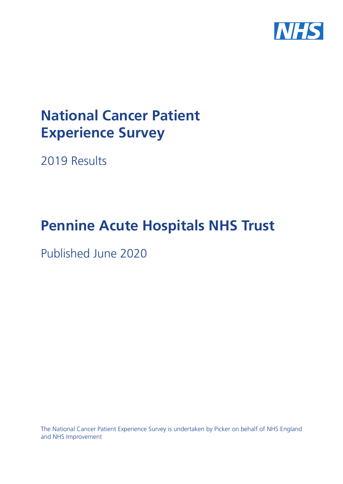

# **National Cancer Patient Experience Survey**

2019 Results

# **Pennine Acute Hospitals NHS Trust**

Published June 2020

The National Cancer Patient Experience Survey is undertaken by Picker on behalf of NHS England and NHS Improvement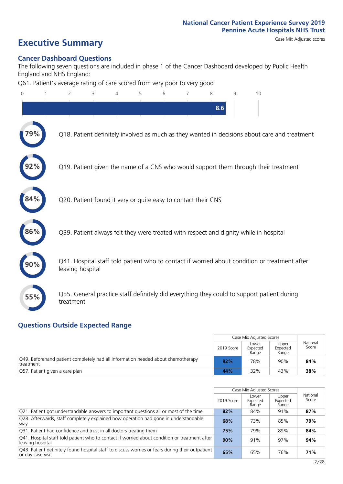# **Executive Summary** Case Mix Adjusted scores

### **Cancer Dashboard Questions**

The following seven questions are included in phase 1 of the Cancer Dashboard developed by Public Health England and NHS England:

Q61. Patient's average rating of care scored from very poor to very good

| $\mathbf{0}$ | 2                                                             | 3 | 4 | 5 | 6 | 7 | 8   | 9 | 10                                                                                            |
|--------------|---------------------------------------------------------------|---|---|---|---|---|-----|---|-----------------------------------------------------------------------------------------------|
|              |                                                               |   |   |   |   |   | 8.6 |   |                                                                                               |
| 79%          |                                                               |   |   |   |   |   |     |   | Q18. Patient definitely involved as much as they wanted in decisions about care and treatment |
|              |                                                               |   |   |   |   |   |     |   | Q19. Patient given the name of a CNS who would support them through their treatment           |
|              | Q20. Patient found it very or quite easy to contact their CNS |   |   |   |   |   |     |   |                                                                                               |
| 86%          |                                                               |   |   |   |   |   |     |   | Q39. Patient always felt they were treated with respect and dignity while in hospital         |
|              | leaving hospital                                              |   |   |   |   |   |     |   | Q41. Hospital staff told patient who to contact if worried about condition or treatment after |
| 55%          | treatment                                                     |   |   |   |   |   |     |   | Q55. General practice staff definitely did everything they could to support patient during    |
|              |                                                               |   |   |   |   |   |     |   |                                                                                               |

### **Questions Outside Expected Range**

|                                                                                               |            | Case Mix Adjusted Scores   |                            |                   |
|-----------------------------------------------------------------------------------------------|------------|----------------------------|----------------------------|-------------------|
|                                                                                               | 2019 Score | Lower<br>Expected<br>Range | Upper<br>Expected<br>Range | National<br>Score |
| Q49. Beforehand patient completely had all information needed about chemotherapy<br>treatment | 92%        | 78%                        | 90%                        | 84%               |
| Q57. Patient given a care plan                                                                | 44%        | 32%                        | 43%                        | 38%               |

|                                                                                                                        |            | Case Mix Adjusted Scores   |                            |                   |
|------------------------------------------------------------------------------------------------------------------------|------------|----------------------------|----------------------------|-------------------|
|                                                                                                                        | 2019 Score | Lower<br>Expected<br>Range | Upper<br>Expected<br>Range | National<br>Score |
| $\sqrt{Q}$ 21. Patient got understandable answers to important questions all or most of the time                       | 82%        | 84%                        | 91%                        | 87%               |
| Q28. Afterwards, staff completely explained how operation had gone in understandable<br>way                            | 68%        | 73%                        | 85%                        | 79%               |
| Q31. Patient had confidence and trust in all doctors treating them                                                     | 75%        | 79%                        | 89%                        | 84%               |
| Q41. Hospital staff told patient who to contact if worried about condition or treatment after<br>leaving hospital      | 90%        | 91%                        | 97%                        | 94%               |
| [Q43] Patient definitely found hospital staff to discuss worries or fears during their outpatient<br>or day case visit | 65%        | 65%                        | 76%                        | 71%               |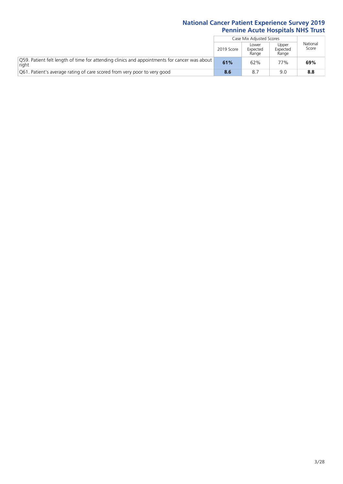|                                                                                                       |            | Case Mix Adjusted Scores   |                            |                   |
|-------------------------------------------------------------------------------------------------------|------------|----------------------------|----------------------------|-------------------|
|                                                                                                       | 2019 Score | Lower<br>Expected<br>Range | Upper<br>Expected<br>Range | National<br>Score |
| O59. Patient felt length of time for attending clinics and appointments for cancer was about<br>right | 61%        | 62%                        | 77%                        | 69%               |
| O61. Patient's average rating of care scored from very poor to very good                              | 8.6        | 8.7                        | 9 N                        | 8.8               |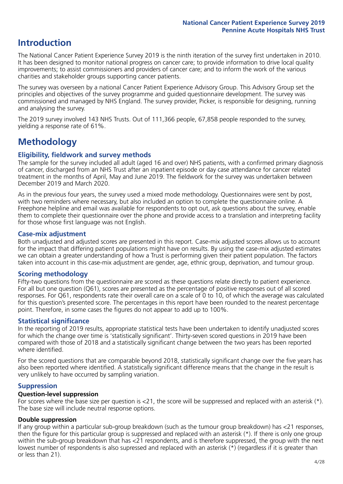## **Introduction**

The National Cancer Patient Experience Survey 2019 is the ninth iteration of the survey first undertaken in 2010. It has been designed to monitor national progress on cancer care; to provide information to drive local quality improvements; to assist commissioners and providers of cancer care; and to inform the work of the various charities and stakeholder groups supporting cancer patients.

The survey was overseen by a national Cancer Patient Experience Advisory Group. This Advisory Group set the principles and objectives of the survey programme and guided questionnaire development. The survey was commissioned and managed by NHS England. The survey provider, Picker, is responsible for designing, running and analysing the survey.

The 2019 survey involved 143 NHS Trusts. Out of 111,366 people, 67,858 people responded to the survey, yielding a response rate of 61%.

# **Methodology**

### **Eligibility, eldwork and survey methods**

The sample for the survey included all adult (aged 16 and over) NHS patients, with a confirmed primary diagnosis of cancer, discharged from an NHS Trust after an inpatient episode or day case attendance for cancer related treatment in the months of April, May and June 2019. The fieldwork for the survey was undertaken between December 2019 and March 2020.

As in the previous four years, the survey used a mixed mode methodology. Questionnaires were sent by post, with two reminders where necessary, but also included an option to complete the questionnaire online. A Freephone helpline and email was available for respondents to opt out, ask questions about the survey, enable them to complete their questionnaire over the phone and provide access to a translation and interpreting facility for those whose first language was not English.

### **Case-mix adjustment**

Both unadjusted and adjusted scores are presented in this report. Case-mix adjusted scores allows us to account for the impact that differing patient populations might have on results. By using the case-mix adjusted estimates we can obtain a greater understanding of how a Trust is performing given their patient population. The factors taken into account in this case-mix adjustment are gender, age, ethnic group, deprivation, and tumour group.

### **Scoring methodology**

Fifty-two questions from the questionnaire are scored as these questions relate directly to patient experience. For all but one question (Q61), scores are presented as the percentage of positive responses out of all scored responses. For Q61, respondents rate their overall care on a scale of 0 to 10, of which the average was calculated for this question's presented score. The percentages in this report have been rounded to the nearest percentage point. Therefore, in some cases the figures do not appear to add up to 100%.

### **Statistical significance**

In the reporting of 2019 results, appropriate statistical tests have been undertaken to identify unadjusted scores for which the change over time is 'statistically significant'. Thirty-seven scored questions in 2019 have been compared with those of 2018 and a statistically significant change between the two years has been reported where identified.

For the scored questions that are comparable beyond 2018, statistically significant change over the five years has also been reported where identified. A statistically significant difference means that the change in the result is very unlikely to have occurred by sampling variation.

### **Suppression**

### **Question-level suppression**

For scores where the base size per question is  $<$ 21, the score will be suppressed and replaced with an asterisk (\*). The base size will include neutral response options.

### **Double suppression**

If any group within a particular sub-group breakdown (such as the tumour group breakdown) has <21 responses, then the figure for this particular group is suppressed and replaced with an asterisk (\*). If there is only one group within the sub-group breakdown that has <21 respondents, and is therefore suppressed, the group with the next lowest number of respondents is also supressed and replaced with an asterisk (\*) (regardless if it is greater than or less than 21).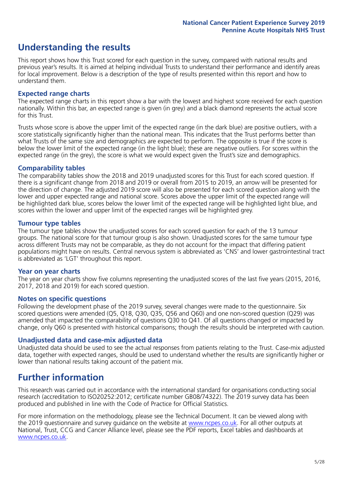## **Understanding the results**

This report shows how this Trust scored for each question in the survey, compared with national results and previous year's results. It is aimed at helping individual Trusts to understand their performance and identify areas for local improvement. Below is a description of the type of results presented within this report and how to understand them.

### **Expected range charts**

The expected range charts in this report show a bar with the lowest and highest score received for each question nationally. Within this bar, an expected range is given (in grey) and a black diamond represents the actual score for this Trust.

Trusts whose score is above the upper limit of the expected range (in the dark blue) are positive outliers, with a score statistically significantly higher than the national mean. This indicates that the Trust performs better than what Trusts of the same size and demographics are expected to perform. The opposite is true if the score is below the lower limit of the expected range (in the light blue); these are negative outliers. For scores within the expected range (in the grey), the score is what we would expect given the Trust's size and demographics.

### **Comparability tables**

The comparability tables show the 2018 and 2019 unadjusted scores for this Trust for each scored question. If there is a significant change from 2018 and 2019 or overall from 2015 to 2019, an arrow will be presented for the direction of change. The adjusted 2019 score will also be presented for each scored question along with the lower and upper expected range and national score. Scores above the upper limit of the expected range will be highlighted dark blue, scores below the lower limit of the expected range will be highlighted light blue, and scores within the lower and upper limit of the expected ranges will be highlighted grey.

### **Tumour type tables**

The tumour type tables show the unadjusted scores for each scored question for each of the 13 tumour groups. The national score for that tumour group is also shown. Unadjusted scores for the same tumour type across different Trusts may not be comparable, as they do not account for the impact that differing patient populations might have on results. Central nervous system is abbreviated as 'CNS' and lower gastrointestinal tract is abbreviated as 'LGT' throughout this report.

### **Year on year charts**

The year on year charts show five columns representing the unadjusted scores of the last five years (2015, 2016, 2017, 2018 and 2019) for each scored question.

### **Notes on specific questions**

Following the development phase of the 2019 survey, several changes were made to the questionnaire. Six scored questions were amended (Q5, Q18, Q30, Q35, Q56 and Q60) and one non-scored question (Q29) was amended that impacted the comparability of questions Q30 to Q41. Of all questions changed or impacted by change, only Q60 is presented with historical comparisons; though the results should be interpreted with caution.

### **Unadjusted data and case-mix adjusted data**

Unadjusted data should be used to see the actual responses from patients relating to the Trust. Case-mix adjusted data, together with expected ranges, should be used to understand whether the results are significantly higher or lower than national results taking account of the patient mix.

### **Further information**

This research was carried out in accordance with the international standard for organisations conducting social research (accreditation to ISO20252:2012; certificate number GB08/74322). The 2019 survey data has been produced and published in line with the Code of Practice for Official Statistics.

For more information on the methodology, please see the Technical Document. It can be viewed along with the 2019 questionnaire and survey quidance on the website at [www.ncpes.co.uk](https://www.ncpes.co.uk/supporting-documents). For all other outputs at National, Trust, CCG and Cancer Alliance level, please see the PDF reports, Excel tables and dashboards at [www.ncpes.co.uk.](https://www.ncpes.co.uk/current-results)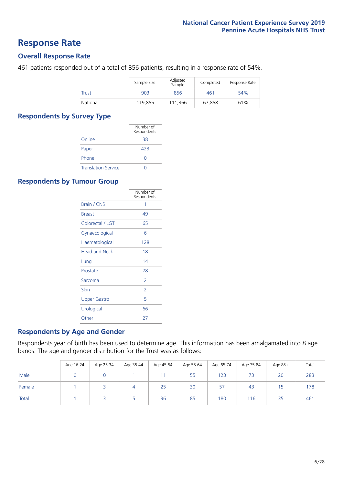### **Response Rate**

### **Overall Response Rate**

461 patients responded out of a total of 856 patients, resulting in a response rate of 54%.

|              | Sample Size | Adjusted<br>Sample | Completed | Response Rate |
|--------------|-------------|--------------------|-----------|---------------|
| <b>Trust</b> | 903         | 856                | 461       | 54%           |
| National     | 119,855     | 111.366            | 67.858    | 61%           |

### **Respondents by Survey Type**

|                            | Number of<br>Respondents |
|----------------------------|--------------------------|
| Online                     | 38                       |
| Paper                      | 423                      |
| Phone                      |                          |
| <b>Translation Service</b> |                          |

### **Respondents by Tumour Group**

|                      | Number of<br>Respondents |
|----------------------|--------------------------|
| <b>Brain / CNS</b>   | 1                        |
| <b>Breast</b>        | 49                       |
| Colorectal / LGT     | 65                       |
| Gynaecological       | 6                        |
| Haematological       | 128                      |
| <b>Head and Neck</b> | 18                       |
| Lung                 | 14                       |
| Prostate             | 78                       |
| Sarcoma              | $\overline{2}$           |
| Skin                 | $\overline{2}$           |
| <b>Upper Gastro</b>  | 5                        |
| Urological           | 66                       |
| Other                | 27                       |

### **Respondents by Age and Gender**

Respondents year of birth has been used to determine age. This information has been amalgamated into 8 age bands. The age and gender distribution for the Trust was as follows:

|        | Age 16-24 | Age 25-34 | Age 35-44 | Age 45-54 | Age 55-64 | Age 65-74 | Age 75-84 | Age 85+ | Total |
|--------|-----------|-----------|-----------|-----------|-----------|-----------|-----------|---------|-------|
| Male   |           |           |           |           | 55        | 123       |           | 20      | 283   |
| Female |           |           | 4         | 25        | 30        | 57        | 43        | כ ו     | 178   |
| Total  |           |           |           | 36        | 85        | 180       | 116       | 35      | 461   |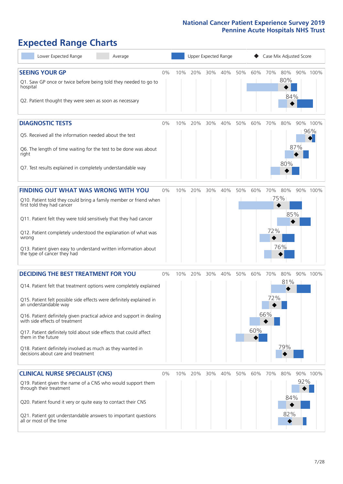# **Expected Range Charts**

| Lower Expected Range<br>Average                                                                                                                                                                                                                                                                                                                                                                                                                                                                                             | Upper Expected Range |     |     |     |     |     |            |                   | Case Mix Adjusted Score |     |                 |
|-----------------------------------------------------------------------------------------------------------------------------------------------------------------------------------------------------------------------------------------------------------------------------------------------------------------------------------------------------------------------------------------------------------------------------------------------------------------------------------------------------------------------------|----------------------|-----|-----|-----|-----|-----|------------|-------------------|-------------------------|-----|-----------------|
| <b>SEEING YOUR GP</b><br>Q1. Saw GP once or twice before being told they needed to go to<br>hospital<br>Q2. Patient thought they were seen as soon as necessary                                                                                                                                                                                                                                                                                                                                                             | $0\%$                | 10% | 20% | 30% | 40% | 50% | 60%        | 70%               | 80%<br>80%<br>84%       |     | 90% 100%        |
| <b>DIAGNOSTIC TESTS</b><br>Q5. Received all the information needed about the test<br>Q6. The length of time waiting for the test to be done was about<br>right<br>Q7. Test results explained in completely understandable way                                                                                                                                                                                                                                                                                               | 0%                   | 10% | 20% | 30% | 40% | 50% | 60%        | 70%               | 80%<br>80%              | 87% | 90% 100%<br>96% |
| <b>FINDING OUT WHAT WAS WRONG WITH YOU</b><br>Q10. Patient told they could bring a family member or friend when<br>first told they had cancer<br>Q11. Patient felt they were told sensitively that they had cancer<br>Q12. Patient completely understood the explanation of what was<br>wrong<br>Q13. Patient given easy to understand written information about<br>the type of cancer they had                                                                                                                             | $0\%$                | 10% | 20% | 30% | 40% | 50% | 60%        | 70%<br>75%<br>72% | 80%<br>85%<br>76%       | 90% | 100%            |
| <b>DECIDING THE BEST TREATMENT FOR YOU</b><br>Q14. Patient felt that treatment options were completely explained<br>Q15. Patient felt possible side effects were definitely explained in<br>an understandable way<br>Q16. Patient definitely given practical advice and support in dealing<br>with side effects of treatment<br>Q17. Patient definitely told about side effects that could affect<br>them in the future<br>Q18. Patient definitely involved as much as they wanted in<br>decisions about care and treatment | $0\%$                | 10% | 20% | 30% | 40% | 50% | 60%<br>60% | 70%<br>72%<br>66% | 80%<br>81%<br>79%       |     | 90% 100%        |
| <b>CLINICAL NURSE SPECIALIST (CNS)</b><br>Q19. Patient given the name of a CNS who would support them<br>through their treatment<br>Q20. Patient found it very or quite easy to contact their CNS<br>Q21. Patient got understandable answers to important questions<br>all or most of the time                                                                                                                                                                                                                              | $0\%$                | 10% | 20% | 30% | 40% | 50% | 60%        | 70%               | 80%<br>84%<br>82%       | 92% | 90% 100%        |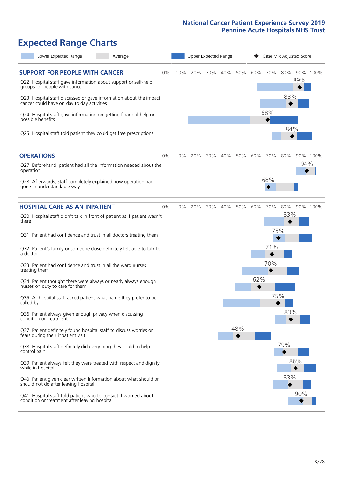# **Expected Range Charts**

| Lower Expected Range<br>Average                                                                                   |     |     | Upper Expected Range |     |     |     | Case Mix Adjusted Score |     |          |  |
|-------------------------------------------------------------------------------------------------------------------|-----|-----|----------------------|-----|-----|-----|-------------------------|-----|----------|--|
| <b>SUPPORT FOR PEOPLE WITH CANCER</b><br>0%                                                                       | 10% | 20% | 30%                  | 40% | 50% | 60% | 70%<br>80%              |     | 90% 100% |  |
| Q22. Hospital staff gave information about support or self-help<br>groups for people with cancer                  |     |     |                      |     |     |     |                         | 89% |          |  |
| Q23. Hospital staff discussed or gave information about the impact<br>cancer could have on day to day activities  |     |     |                      |     |     |     | 83%                     |     |          |  |
| Q24. Hospital staff gave information on getting financial help or<br>possible benefits                            |     |     |                      |     |     | 68% |                         |     |          |  |
| Q25. Hospital staff told patient they could get free prescriptions                                                |     |     |                      |     |     |     | 84%                     |     |          |  |
| <b>OPERATIONS</b><br>0%                                                                                           | 10% | 20% | 30%                  | 40% | 50% | 60% | 70%<br>80%              |     | 90% 100% |  |
| Q27. Beforehand, patient had all the information needed about the<br>operation                                    |     |     |                      |     |     |     |                         | 94% |          |  |
| Q28. Afterwards, staff completely explained how operation had<br>gone in understandable way                       |     |     |                      |     |     | 68% |                         |     |          |  |
| <b>HOSPITAL CARE AS AN INPATIENT</b><br>0%                                                                        | 10% | 20% | 30%                  | 40% | 50% | 60% | 70%<br>80%              |     | 90% 100% |  |
| Q30. Hospital staff didn't talk in front of patient as if patient wasn't<br>there                                 |     |     |                      |     |     |     | 83%                     |     |          |  |
| Q31. Patient had confidence and trust in all doctors treating them                                                |     |     |                      |     |     |     | 75%                     |     |          |  |
| Q32. Patient's family or someone close definitely felt able to talk to<br>a doctor                                |     |     |                      |     |     |     | 71%                     |     |          |  |
| Q33. Patient had confidence and trust in all the ward nurses<br>treating them                                     |     |     |                      |     |     |     | 70%                     |     |          |  |
| Q34. Patient thought there were always or nearly always enough<br>nurses on duty to care for them                 |     |     |                      |     |     | 62% |                         |     |          |  |
| Q35. All hospital staff asked patient what name they prefer to be<br>called by                                    |     |     |                      |     |     |     | 75%                     |     |          |  |
| Q36. Patient always given enough privacy when discussing<br>condition or treatment                                |     |     |                      |     |     |     | 83%                     |     |          |  |
| Q37. Patient definitely found hospital staff to discuss worries or<br>fears during their inpatient visit          |     |     |                      |     | 48% |     |                         |     |          |  |
| Q38. Hospital staff definitely did everything they could to help<br>control pain                                  |     |     |                      |     |     |     | 79%                     |     |          |  |
| Q39. Patient always felt they were treated with respect and dignity<br>while in hospital                          |     |     |                      |     |     |     |                         | 86% |          |  |
| Q40. Patient given clear written information about what should or<br>should not do after leaving hospital         |     |     |                      |     |     |     | 83%                     |     |          |  |
| Q41. Hospital staff told patient who to contact if worried about<br>condition or treatment after leaving hospital |     |     |                      |     |     |     |                         | 90% |          |  |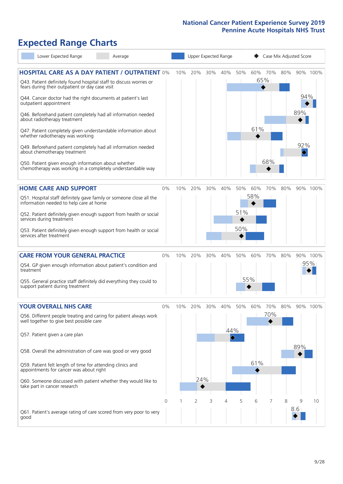# **Expected Range Charts**

| Lower Expected Range                                                                                                  | Average |          |     | Upper Expected Range |     |                                    |     | Case Mix Adjusted Score |     |     |          |          |
|-----------------------------------------------------------------------------------------------------------------------|---------|----------|-----|----------------------|-----|------------------------------------|-----|-------------------------|-----|-----|----------|----------|
| <b>HOSPITAL CARE AS A DAY PATIENT / OUTPATIENT 0%</b>                                                                 |         |          | 10% | 20%                  | 30% | 40%                                | 50% | 60%                     | 70% | 80% |          | 90% 100% |
| Q43. Patient definitely found hospital staff to discuss worries or<br>fears during their outpatient or day case visit |         |          |     |                      |     |                                    |     |                         | 65% |     |          |          |
| Q44. Cancer doctor had the right documents at patient's last<br>outpatient appointment                                |         |          |     |                      |     |                                    |     |                         |     |     | 94%      |          |
| Q46. Beforehand patient completely had all information needed<br>about radiotherapy treatment                         |         |          |     |                      |     |                                    |     |                         |     |     | 89%      |          |
| Q47. Patient completely given understandable information about<br>whether radiotherapy was working                    |         |          |     |                      |     |                                    |     | 61%                     |     |     |          |          |
| Q49. Beforehand patient completely had all information needed<br>about chemotherapy treatment                         |         |          |     |                      |     |                                    |     |                         |     |     | 92%<br>♦ |          |
| Q50. Patient given enough information about whether<br>chemotherapy was working in a completely understandable way    |         |          |     |                      |     |                                    |     |                         | 68% |     |          |          |
| <b>HOME CARE AND SUPPORT</b>                                                                                          |         | 0%       | 10% | 20%                  | 30% | 40%                                | 50% | 60%                     | 70% | 80% |          | 90% 100% |
| Q51. Hospital staff definitely gave family or someone close all the<br>information needed to help care at home        |         |          |     |                      |     |                                    |     | 58%                     |     |     |          |          |
| Q52. Patient definitely given enough support from health or social<br>services during treatment                       |         |          |     |                      |     |                                    | 51% |                         |     |     |          |          |
| Q53. Patient definitely given enough support from health or social<br>services after treatment                        |         |          |     |                      |     |                                    | 50% |                         |     |     |          |          |
| <b>CARE FROM YOUR GENERAL PRACTICE</b>                                                                                |         | 0%       | 10% | 20%                  | 30% | 40%                                | 50% | 60%                     | 70% | 80% |          | 90% 100% |
| Q54. GP given enough information about patient's condition and<br>treatment                                           |         |          |     |                      |     |                                    |     |                         |     |     |          | 95%      |
| Q55. General practice staff definitely did everything they could to<br>support patient during treatment               |         |          |     |                      |     |                                    |     | 55%                     |     |     |          |          |
| <b>YOUR OVERALL NHS CARE</b>                                                                                          |         | 0%       | 10% | 20%                  | 30% | 40%                                | 50% | 60%                     | 70% | 80% |          | 90% 100% |
| Q56. Different people treating and caring for patient always work<br>well together to give best possible care         |         |          |     |                      |     |                                    |     |                         | 70% |     |          |          |
| Q57. Patient given a care plan                                                                                        |         |          |     |                      |     | 44%<br>$\color{blue}\blacklozenge$ |     |                         |     |     |          |          |
| Q58. Overall the administration of care was good or very good                                                         |         |          |     |                      |     |                                    |     |                         |     |     | 89%      |          |
| Q59. Patient felt length of time for attending clinics and<br>appointments for cancer was about right                 |         |          |     |                      |     |                                    |     | 61%                     |     |     |          |          |
| Q60. Someone discussed with patient whether they would like to<br>take part in cancer research                        |         |          |     | 24%                  |     |                                    |     |                         |     |     |          |          |
|                                                                                                                       |         | $\Omega$ |     | 2                    | 3   | 4                                  | 5   | 6                       |     | 8   | 9        | 10       |
| Q61. Patient's average rating of care scored from very poor to very<br>good                                           |         |          |     |                      |     |                                    |     |                         |     |     | 8.6      |          |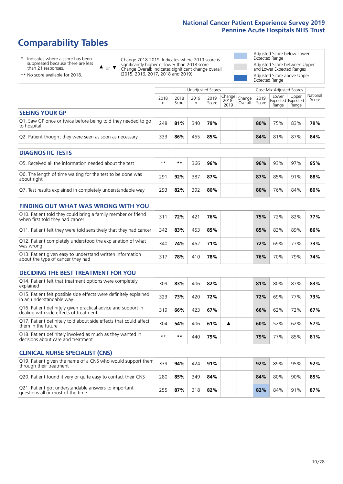# **Comparability Tables**

\* Indicates where a score has been suppressed because there are less than 21 responses.

\*\* No score available for 2018.

 $\triangle$  or  $\nabla$ 

Change 2018-2019: Indicates where 2019 score is significantly higher or lower than 2018 score Change Overall: Indicates significant change overall (2015, 2016, 2017, 2018 and 2019).

Adjusted Score below Lower Expected Range Adjusted Score between Upper and Lower Expected Ranges Adjusted Score above Upper Expected Range

|                                                                             | Unadjusted Scores |               |           |               |                                                      |         | Case Mix Adjusted Scores |                |                                     |                   |
|-----------------------------------------------------------------------------|-------------------|---------------|-----------|---------------|------------------------------------------------------|---------|--------------------------|----------------|-------------------------------------|-------------------|
|                                                                             | 2018<br>n         | 2018<br>Score | 2019<br>n | 2019<br>Score | $\cdot$   Change   Change   $\cdot$<br>2018-<br>2019 | Overall | 2019<br>Score            | Lower<br>Range | Upper<br>Expected Expected<br>Range | National<br>Score |
| <b>SEEING YOUR GP</b>                                                       |                   |               |           |               |                                                      |         |                          |                |                                     |                   |
| Q1. Saw GP once or twice before being told they needed to go<br>to hospital | 248               | 81%           | 340       | 79%           |                                                      |         | 80%                      | 75%            | 83%                                 | 79%               |
| Q2. Patient thought they were seen as soon as necessary                     | 333               | 86%           | 455       | 85%           |                                                      |         | 84%                      | 81%            | 87%                                 | 84%               |
| DIAGNOSTIC TESTS                                                            |                   |               |           |               |                                                      |         |                          |                |                                     |                   |

| <b>PIAGNOSTIC ILSTS</b>                                                   |      |     |     |     |  |     |     |     |     |
|---------------------------------------------------------------------------|------|-----|-----|-----|--|-----|-----|-----|-----|
| Q5. Received all the information needed about the test                    | $**$ | **  | 366 | 96% |  | 96% | 93% | 97% | 95% |
| Q6. The length of time waiting for the test to be done was<br>about right | 291  | 92% | 387 | 87% |  | 87% | 85% | 91% | 88% |
| Q7. Test results explained in completely understandable way               | 293  | 82% | 392 | 80% |  | 80% | 76% | 84% | 80% |

| <b>FINDING OUT WHAT WAS WRONG WITH YOU</b>                                                      |     |     |     |     |     |     |     |     |
|-------------------------------------------------------------------------------------------------|-----|-----|-----|-----|-----|-----|-----|-----|
| Q10. Patient told they could bring a family member or friend<br>when first told they had cancer | 311 | 72% | 421 | 76% | 75% | 72% | 82% | 77% |
| Q11. Patient felt they were told sensitively that they had cancer                               | 342 | 83% | 453 | 85% | 85% | 83% | 89% | 86% |
| Q12. Patient completely understood the explanation of what<br>was wrong                         | 340 | 74% | 452 | 71% | 72% | 69% | 77% | 73% |
| Q13. Patient given easy to understand written information<br>about the type of cancer they had  | 317 | 78% | 410 | 78% | 76% | 70% | 79% | 74% |

| <b>DECIDING THE BEST TREATMENT FOR YOU</b>                                                              |      |     |     |     |  |     |     |     |     |
|---------------------------------------------------------------------------------------------------------|------|-----|-----|-----|--|-----|-----|-----|-----|
| Q14. Patient felt that treatment options were completely<br>explained                                   | 309  | 83% | 406 | 82% |  | 81% | 80% | 87% | 83% |
| Q15. Patient felt possible side effects were definitely explained<br>in an understandable way           | 323  | 73% | 420 | 72% |  | 72% | 69% | 77% | 73% |
| Q16. Patient definitely given practical advice and support in<br>dealing with side effects of treatment | 319  | 66% | 423 | 67% |  | 66% | 62% | 72% | 67% |
| Q17. Patient definitely told about side effects that could affect<br>them in the future                 | 304  | 54% | 406 | 61% |  | 60% | 52% | 62% | 57% |
| Q18. Patient definitely involved as much as they wanted in<br>decisions about care and treatment        | $**$ | **  | 440 | 79% |  | 79% | 77% | 85% | 81% |

| <b>CLINICAL NURSE SPECIALIST (CNS)</b>                                                    |     |     |     |     |  |     |     |     |     |
|-------------------------------------------------------------------------------------------|-----|-----|-----|-----|--|-----|-----|-----|-----|
| Q19. Patient given the name of a CNS who would support them<br>through their treatment    | 339 | 94% | 424 | 91% |  | 92% | 89% | 95% | 92% |
| Q20. Patient found it very or quite easy to contact their CNS                             | 280 | 85% | 349 | 84% |  | 84% | 80% | 90% | 85% |
| Q21. Patient got understandable answers to important<br>questions all or most of the time | 255 | 87% | 318 | 82% |  | 82% | 84% | 91% | 87% |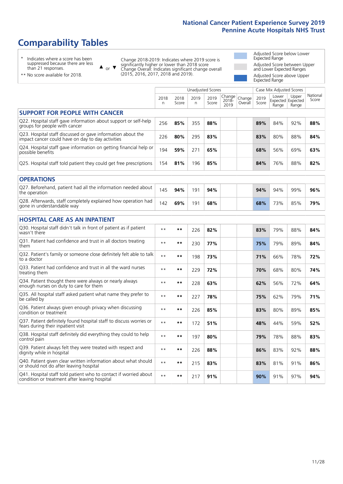# **Comparability Tables**

\* Indicates where a score has been suppressed because there are less than 21 responses.

\*\* No score available for 2018.

 $\triangle$  or  $\nabla$ 

Change 2018-2019: Indicates where 2019 score is significantly higher or lower than 2018 score Change Overall: Indicates significant change overall (2015, 2016, 2017, 2018 and 2019).

Adjusted Score below Lower Expected Range Adjusted Score between Upper and Lower Expected Ranges Adjusted Score above Upper Expected Range

|                                                                                                                   |              |               | <b>Unadjusted Scores</b> |               |                         |                   |               | Case Mix Adjusted Scores |                                     |                   |
|-------------------------------------------------------------------------------------------------------------------|--------------|---------------|--------------------------|---------------|-------------------------|-------------------|---------------|--------------------------|-------------------------------------|-------------------|
|                                                                                                                   | 2018<br>n.   | 2018<br>Score | 2019<br>n                | 2019<br>Score | Change<br>2018-<br>2019 | Change<br>Overall | 2019<br>Score | Lower<br>Range           | Upper<br>Expected Expected<br>Range | National<br>Score |
| <b>SUPPORT FOR PEOPLE WITH CANCER</b>                                                                             |              |               |                          |               |                         |                   |               |                          |                                     |                   |
| Q22. Hospital staff gave information about support or self-help<br>groups for people with cancer                  | 256          | 85%           | 355                      | 88%           |                         |                   | 89%           | 84%                      | 92%                                 | 88%               |
| Q23. Hospital staff discussed or gave information about the<br>impact cancer could have on day to day activities  | 226          | 80%           | 295                      | 83%           |                         |                   | 83%           | 80%                      | 88%                                 | 84%               |
| Q24. Hospital staff gave information on getting financial help or<br>possible benefits                            | 194          | 59%           | 271                      | 65%           |                         |                   | 68%           | 56%                      | 69%                                 | 63%               |
| Q25. Hospital staff told patient they could get free prescriptions                                                | 154          | 81%           | 196                      | 85%           |                         |                   | 84%           | 76%                      | 88%                                 | 82%               |
| <b>OPERATIONS</b>                                                                                                 |              |               |                          |               |                         |                   |               |                          |                                     |                   |
| Q27. Beforehand, patient had all the information needed about<br>the operation                                    | 145          | 94%           | 191                      | 94%           |                         |                   | 94%           | 94%                      | 99%                                 | 96%               |
| Q28. Afterwards, staff completely explained how operation had<br>gone in understandable way                       | 142          | 69%           | 191                      | 68%           |                         |                   | 68%           | 73%                      | 85%                                 | 79%               |
| <b>HOSPITAL CARE AS AN INPATIENT</b>                                                                              |              |               |                          |               |                         |                   |               |                          |                                     |                   |
| Q30. Hospital staff didn't talk in front of patient as if patient<br>wasn't there                                 | $* *$        | $***$         | 226                      | 82%           |                         |                   | 83%           | 79%                      | 88%                                 | 84%               |
| Q31. Patient had confidence and trust in all doctors treating<br>them                                             | $* *$        | $***$         | 230                      | 77%           |                         |                   | 75%           | 79%                      | 89%                                 | 84%               |
| Q32. Patient's family or someone close definitely felt able to talk<br>to a doctor                                | $* *$        | $***$         | 198                      | 73%           |                         |                   | 71%           | 66%                      | 78%                                 | 72%               |
| Q33. Patient had confidence and trust in all the ward nurses<br>treating them                                     | $\star\star$ | **            | 229                      | 72%           |                         |                   | 70%           | 68%                      | 80%                                 | 74%               |
| Q34. Patient thought there were always or nearly always<br>enough nurses on duty to care for them                 | $\star\star$ | $***$         | 228                      | 63%           |                         |                   | 62%           | 56%                      | 72%                                 | 64%               |
| Q35. All hospital staff asked patient what name they prefer to<br>be called by                                    | $**$         | $***$         | 227                      | 78%           |                         |                   | 75%           | 62%                      | 79%                                 | 71%               |
| Q36. Patient always given enough privacy when discussing<br>condition or treatment                                | $* *$        | $**$          | 226                      | 85%           |                         |                   | 83%           | 80%                      | 89%                                 | 85%               |
| Q37. Patient definitely found hospital staff to discuss worries or<br>fears during their inpatient visit          | $* *$        | **            | 172                      | 51%           |                         |                   | 48%           | 44%                      | 59%                                 | 52%               |
| Q38. Hospital staff definitely did everything they could to help<br>control pain                                  | $* *$        | $***$         | 197                      | 80%           |                         |                   | 79%           | 78%                      | 88%                                 | 83%               |
| Q39. Patient always felt they were treated with respect and<br>dignity while in hospital                          | $\star\star$ | $**$          | 226                      | 88%           |                         |                   | 86%           | 83%                      | 92%                                 | 88%               |
| Q40. Patient given clear written information about what should<br>or should not do after leaving hospital         | $**$         | $***$         | 215                      | 83%           |                         |                   | 83%           | 81%                      | 91%                                 | 86%               |
| Q41. Hospital staff told patient who to contact if worried about<br>condition or treatment after leaving hospital | $\star\star$ | $***$         | 217                      | 91%           |                         |                   | 90%           | 91%                      | 97%                                 | 94%               |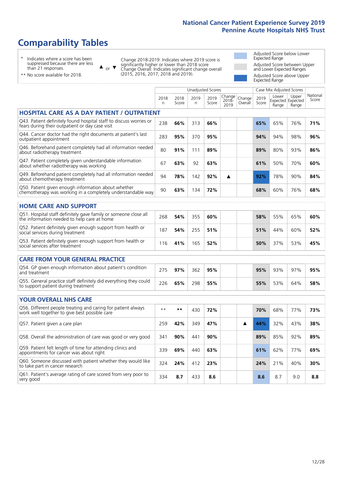# **Comparability Tables**

\* Indicates where a score has been suppressed because there are less than 21 responses.

\*\* No score available for 2018.

 $\triangle$  or  $\nabla$ 

Change 2018-2019: Indicates where 2019 score is significantly higher or lower than 2018 score Change Overall: Indicates significant change overall (2015, 2016, 2017, 2018 and 2019).

Adjusted Score below Lower Expected Range Adjusted Score between Upper and Lower Expected Ranges Adjusted Score above Upper Expected Range

|                                                                                                                       |              |               | Unadjusted Scores |               |                         |                   |               | Case Mix Adjusted Scores            |                |                   |
|-----------------------------------------------------------------------------------------------------------------------|--------------|---------------|-------------------|---------------|-------------------------|-------------------|---------------|-------------------------------------|----------------|-------------------|
|                                                                                                                       | 2018<br>n.   | 2018<br>Score | 2019<br>n.        | 2019<br>Score | Change<br>2018-<br>2019 | Change<br>Overall | 2019<br>Score | Lower<br>Expected Expected<br>Range | Upper<br>Range | National<br>Score |
| HOSPITAL CARE AS A DAY PATIENT / OUTPATIENT                                                                           |              |               |                   |               |                         |                   |               |                                     |                |                   |
| Q43. Patient definitely found hospital staff to discuss worries or<br>fears during their outpatient or day case visit | 238          | 66%           | 313               | 66%           |                         |                   | 65%           | 65%                                 | 76%            | 71%               |
| Q44. Cancer doctor had the right documents at patient's last<br>outpatient appointment                                | 283          | 95%           | 370               | 95%           |                         |                   | 94%           | 94%                                 | 98%            | 96%               |
| Q46. Beforehand patient completely had all information needed<br>about radiotherapy treatment                         | 80           | 91%           | 111               | 89%           |                         |                   | 89%           | 80%                                 | 93%            | 86%               |
| Q47. Patient completely given understandable information<br>about whether radiotherapy was working                    | 67           | 63%           | 92                | 63%           |                         |                   | 61%           | 50%                                 | 70%            | 60%               |
| Q49. Beforehand patient completely had all information needed<br>about chemotherapy treatment                         | 94           | 78%           | 142               | 92%           | ▲                       |                   | 92%           | 78%                                 | 90%            | 84%               |
| Q50. Patient given enough information about whether<br>chemotherapy was working in a completely understandable way    | 90           | 63%           | 134               | 72%           |                         |                   | 68%           | 60%                                 | 76%            | 68%               |
| <b>HOME CARE AND SUPPORT</b>                                                                                          |              |               |                   |               |                         |                   |               |                                     |                |                   |
| Q51. Hospital staff definitely gave family or someone close all<br>the information needed to help care at home        | 268          | 54%           | 355               | 60%           |                         |                   | 58%           | 55%                                 | 65%            | 60%               |
| Q52. Patient definitely given enough support from health or<br>social services during treatment                       | 187          | 54%           | 255               | 51%           |                         |                   | 51%           | 44%                                 | 60%            | 52%               |
| Q53. Patient definitely given enough support from health or<br>social services after treatment                        | 116          | 41%           | 165               | 52%           |                         |                   | 50%           | 37%                                 | 53%            | 45%               |
| <b>CARE FROM YOUR GENERAL PRACTICE</b>                                                                                |              |               |                   |               |                         |                   |               |                                     |                |                   |
| Q54. GP given enough information about patient's condition<br>and treatment                                           | 275          | 97%           | 362               | 95%           |                         |                   | 95%           | 93%                                 | 97%            | 95%               |
| Q55. General practice staff definitely did everything they could<br>to support patient during treatment               | 226          | 65%           | 298               | 55%           |                         |                   | 55%           | 53%                                 | 64%            | 58%               |
| <b>YOUR OVERALL NHS CARE</b>                                                                                          |              |               |                   |               |                         |                   |               |                                     |                |                   |
| Q56. Different people treating and caring for patient always<br>work well together to give best possible care         | $\star\star$ | **            | 430               | 72%           |                         |                   | 70%           | 68%                                 | 77%            | 73%               |
| Q57. Patient given a care plan                                                                                        | 259          | 42%           | 349               | 47%           |                         | ▲                 | 44%           | 32%                                 | 43%            | 38%               |
| Q58. Overall the administration of care was good or very good                                                         | 341          | 90%           | 441               | 90%           |                         |                   | 89%           | 85%                                 | 92%            | 89%               |
| Q59. Patient felt length of time for attending clinics and<br>appointments for cancer was about right                 | 339          | 69%           | 440               | 63%           |                         |                   | 61%           | 62%                                 | 77%            | 69%               |
| Q60. Someone discussed with patient whether they would like<br>to take part in cancer research                        | 324          | 24%           | 412               | 23%           |                         |                   | 24%           | 21%                                 | 40%            | 30%               |
| Q61. Patient's average rating of care scored from very poor to<br>very good                                           | 334          | 8.7           | 433               | 8.6           |                         |                   | 8.6           | 8.7                                 | 9.0            | 8.8               |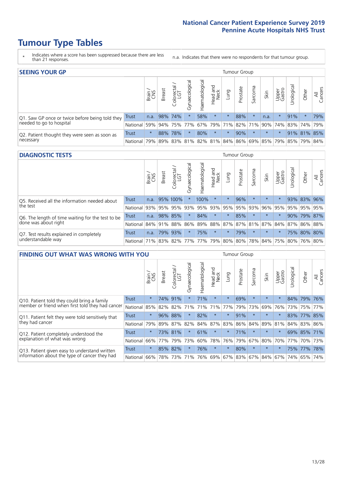- \* Indicates where a score has been suppressed because there are less than 21 responses.
- n.a. Indicates that there were no respondents for that tumour group.

| <b>SEEING YOUR GP</b>                           |            |              |               |                   |                    |                |                  |                       | Tumour Group |         |         |                 |                                                     |             |                |
|-------------------------------------------------|------------|--------------|---------------|-------------------|--------------------|----------------|------------------|-----------------------|--------------|---------|---------|-----------------|-----------------------------------------------------|-------------|----------------|
|                                                 |            | Brain<br>CNS | <b>Breast</b> | Colorectal<br>LGT | ᠊ᢛ<br>Gynaecologic | Haematological | Head and<br>Neck | Dung                  | Prostate     | Sarcoma | Skin    | Upper<br>Gastro | Jrological                                          | Other       | All<br>Cancers |
| Q1. Saw GP once or twice before being told they | Trust      |              | n.a. 98% 74%  |                   |                    | 58%            | $\star$          | $\star$               | 88%          |         | n.a.    | $\star$         | 91%                                                 | $\star$     | 79%            |
| needed to go to hospital                        | National   | 59%          |               | 94% 75% 77%       |                    |                |                  | 67%   79%   71%   82% |              | 71%     |         |                 | 90% 74% 83% 74% 79%                                 |             |                |
| Q2. Patient thought they were seen as soon as   | Trust      | $\star$      | 88%           | 78%               | $\star$            | 80%            | $\star$          | $\star$               | 90%          | $\star$ | $\star$ | $\star$         |                                                     | 91% 81% 85% |                |
| necessary                                       | National I | 79%          |               |                   |                    |                |                  |                       |              |         |         |                 | 89% 83% 81% 82% 81% 84% 86% 69% 85% 79% 85% 79% 84% |             |                |

#### **DIAGNOSTIC TESTS** Tumour Group

|                                                   |                                                                  | Brain | <b>Breast</b> | olorectal.<br>LGT<br>Ü | Gynaecological | Haematological | Head and<br>Neck | Lung        | Prostate | Sarcoma | Skin    | Upper<br>Gastro | Irological                                  | Other       | All<br>Cancers |
|---------------------------------------------------|------------------------------------------------------------------|-------|---------------|------------------------|----------------|----------------|------------------|-------------|----------|---------|---------|-----------------|---------------------------------------------|-------------|----------------|
| Q5. Received all the information needed about     | Trust                                                            | n.a.  |               | 95% 100%               |                | 100%           | $\star$          |             | 96%      | $\star$ | $\star$ | $\star$         |                                             | 93% 83% 96% |                |
| the test                                          | National                                                         | 93%   | 95%           | 95%                    | 93%            |                |                  | 95% 93% 95% | 95%      | 93%     | 96%     | 95%             | 95%                                         | 95%         | 95%            |
| Q6. The length of time waiting for the test to be | Trust                                                            | n.a.  |               | 98% 85%                | $\star$        | 84%            | $\star$          | $\star$     | 85%      |         | $\star$ | $\star$         |                                             | 90% 79% 87% |                |
| done was about right                              | National 84% 91%                                                 |       |               | 88%                    |                |                |                  |             |          |         |         |                 | 86% 89% 88% 87% 87% 81% 87% 84% 87% 86% 88% |             |                |
| Q7. Test results explained in completely          | <b>Trust</b>                                                     | n.a.  |               | 79% 93%                |                | 75%            | $\star$          | $^\star$    | 79%      | $\star$ | $\star$ | $\star$         |                                             | 75% 80% 80% |                |
| understandable way                                | National 71% 83% 82% 77% 77% 79% 80% 80% 78% 84% 75% 80% 76% 80% |       |               |                        |                |                |                  |             |          |         |         |                 |                                             |             |                |

| <b>FINDING OUT WHAT WAS WRONG WITH YOU</b>        |              |         |               |                            |                |                |                        |         | Tumour Group |          |         |                 |            |             |                |
|---------------------------------------------------|--------------|---------|---------------|----------------------------|----------------|----------------|------------------------|---------|--------------|----------|---------|-----------------|------------|-------------|----------------|
|                                                   |              | Brain   | <b>Breast</b> | ╮<br>olorectal<br>LGT<br>Ū | Gynaecological | Haematological | ad and<br>Neck<br>Head | Lung    | Prostate     | Sarcoma  | Skin    | Upper<br>Gastro | Jrological | Other       | All<br>Cancers |
| Q10. Patient told they could bring a family       | <b>Trust</b> | $\star$ | 74%           | 91%                        | $\star$        | 71%            | $\star$                | $\star$ | 69%          | $\star$  | $\star$ | $\star$         |            | 84% 79%     | 76%            |
| member or friend when first told they had cancer  | National     | 85%     | 82%           | 82%                        | 71%            | 71%            | 71%                    | 77%     | 79%          | 73%      | 69%     | 76%             |            | 73% 75%     | 77%            |
| Q11. Patient felt they were told sensitively that | Trust        | $\star$ | 96%           | 88%                        | $\star$        | 82%            | $\star$                | $\star$ | 91%          | $^\star$ | $\star$ | $\star$         |            | 83% 77% 85% |                |
| they had cancer                                   | National     | 79%     |               | 89% 87%                    | 82%            |                | 84% 87%                | 83%     | 86%          |          | 84% 89% | 81%             |            | 84% 83% 86% |                |
| Q12. Patient completely understood the            | Trust        | $\star$ |               | 73% 81%                    | $\star$        | 61%            | $\ast$                 | $\star$ | 71%          | $\star$  | $\star$ | $\star$         |            | 69% 85%     | 171%           |
| explanation of what was wrong                     | National     | 66%     | 77%           | 79%                        | 73%            | 60%            | 78%                    | 76%     | 79%          | 67%      | 80%     | 70%             |            | 77% 70%     | 73%            |
| Q13. Patient given easy to understand written     | Trust        | $\star$ | 85%           | 82%                        | $\star$        | 76%            | $\star$                | $\star$ | 80%          | $\star$  | $\star$ | $\star$         |            | 75% 77%     | 78%            |
| information about the type of cancer they had     | National     | 66%     | 78%           | 73%                        | 71%            | 76%            | 69%                    |         | 67% 83%      | 67%      | 84%     | 67%             | 74%        | 65%         | 74%            |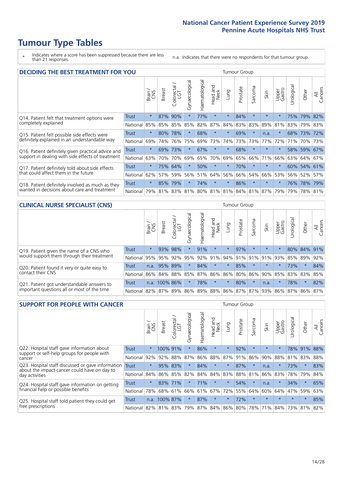\* Indicates where a score has been suppressed because there are less than 21 responses.

n.a. Indicates that there were no respondents for that tumour group.

| <b>DECIDING THE BEST TREATMENT FOR YOU</b>         |              |         |               |                       |                |                |                        |         | <b>Tumour Group</b> |                             |         |                 |            |             |                |
|----------------------------------------------------|--------------|---------|---------------|-----------------------|----------------|----------------|------------------------|---------|---------------------|-----------------------------|---------|-----------------|------------|-------------|----------------|
|                                                    |              | Brain   | <b>Breast</b> | olorectal<br>LGT<br>Ũ | Gynaecological | Haematological | ad and<br>Neck<br>Head | Lung    | Prostate            | Sarcoma                     | Skin    | Upper<br>Gastro | Jrological | Other       | All<br>Cancers |
| Q14. Patient felt that treatment options were      | <b>Trust</b> | $\star$ | 87%           | 90%                   | $\star$        | 77%            | $\star$                | $\star$ | 84%                 | $\star$                     | $\star$ | $\star$         | 75%        | 79%         | 82%            |
| completely explained                               | National     | 85%     | 85%           | 85%                   | 85%            | 82%            | 87%                    | 84%     | 83%                 | 83%                         | 89%     | 81%             |            | 83% 79% 83% |                |
| Q15. Patient felt possible side effects were       | Trust        | $\star$ | 80%           | 78%                   | $\star$        | 68%            | $\star$                | $\star$ | 69%                 | $\star$                     | n.a.    | $\star$         |            | 68% 73%     | 72%            |
| definitely explained in an understandable way      | National     | 69%     | 74%           | 76%                   | 75%            | 69%            | 73%                    | 74%     | 73%                 | 73%                         | 77%     | 72%             | 71%        | 70%         | 73%            |
| Q16. Patient definitely given practical advice and | Trust        | $\star$ | 69%           | 73%                   |                | 67%            | $\star$                | $\star$ | 68%                 | $\star$                     |         | $\star$         |            | 58% 59%     | 67%            |
| support in dealing with side effects of treatment  | National     | 63%     | 70%           | 70%                   | 69%            | 65%            | 70%                    | 69%     | 65%                 | 66%                         | 71%     | 66%             | 63%        | 64%         | 67%            |
| Q17. Patient definitely told about side effects    | Trust        | $\star$ | 75%           | 64%                   | $\star$        | 50%            | $\star$                | $\star$ | 70%                 | $\star$                     | $\star$ | $\star$         |            | 60% 54%     | 61%            |
| that could affect them in the future               | National     | 62%     | 57%           | 59%                   | 56%            | 51%            | 64%                    | 56%     | 66%                 | 54%                         | 66%     | 53%             |            | 56% 52%     | 57%            |
| Q18. Patient definitely involved as much as they   | Trust        | $\star$ | 85%           | 79%                   | $\star$        | 74%            | $\star$                | $\star$ | 86%                 | $\star$                     | $\star$ | $\star$         |            | 76% 78% 79% |                |
| wanted in decisions about care and treatment       | National     | 79%     |               | 81% 83%               |                |                |                        |         |                     | 81% 80% 81% 81% 84% 81% 87% |         | 79%             | 79%        | 78% 81%     |                |

### **CLINICAL NURSE SPECIALIST (CNS)** Tumour Group

|                                             |              | Brain   | <b>Breast</b>   | Colorectal<br>LGT | Gynaecologica | శా<br>aematologi | Head and<br>Neck | Lung    | Prostate | Sarcoma | Skin    | Upper<br>Gastro                               | $\sigma$<br>rologica | Other       | All<br>Cancers |
|---------------------------------------------|--------------|---------|-----------------|-------------------|---------------|------------------|------------------|---------|----------|---------|---------|-----------------------------------------------|----------------------|-------------|----------------|
| Q19. Patient given the name of a CNS who    | <b>Trust</b> | $\star$ | 93%             | 98%               |               | 91%              | $\star$          |         | 97%      | $\star$ | $\star$ | $\star$                                       |                      | 80% 84% 91% |                |
| would support them through their treatment  | National     | 95%     | 95%             | 92%               | 95%           | 92%              | 91%              |         | 94% 91%  | 91%     | 91%     | 93%                                           | 85%                  | 89%         | 92%            |
| Q20. Patient found it very or quite easy to | Trust        | n.a.    | 95% 89%         |                   |               | 84%              | $\star$          | $\star$ | 85%      | $\star$ | $\star$ | $\star$                                       | 73%                  | $\star$     | 84%            |
| contact their CNS                           | National     |         | 86% 84% 88% 85% |                   |               | 87%              | 86%              | 86% 80% |          | 86%     |         | 90% 85%                                       |                      | 83% 83%     | 85%            |
| Q21. Patient got understandable answers to  | Trust        |         | n.a. 100% 86%   |                   |               | 78%              | $\star$          | $\star$ | 80%      | $\star$ | n.a.    |                                               | 78%                  | $\star$     | 82%            |
| important questions all or most of the time | National     |         | 82% 87% 89% 86% |                   |               |                  |                  |         |          |         |         | 89%   88%   86%   87%   87%   93%   86%   87% |                      | 86%         | 87%            |

| <b>SUPPORT FOR PEOPLE WITH CANCER</b>                                                             |              |         |               |            |                |                |                         |                 | Tumour Group |         |         |                 |            |         |                |
|---------------------------------------------------------------------------------------------------|--------------|---------|---------------|------------|----------------|----------------|-------------------------|-----------------|--------------|---------|---------|-----------------|------------|---------|----------------|
|                                                                                                   |              | Brain   | <b>Breast</b> | Colorectal | Gynaecological | Haematological | ead and<br>Neck<br>Head | Lung            | Prostate     | Sarcoma | Skin    | Upper<br>Gastro | Irological | Other   | All<br>Cancers |
| Q22. Hospital staff gave information about<br>support or self-help groups for people with         | <b>Trust</b> | $\star$ |               | 100% 91%   | $\star$        | 86%            | $\star$                 | $\star$         | 92%          | $\star$ | $\star$ | $\star$         | 78%        | 91%     | 88%            |
| cancer                                                                                            | National     | 92%     | 92%           | 88%        | 87%            | 86%            | 88%                     | 87%             | 91%          | 86%     | 90%     | 88%             | 81%        | 83%     | 88%            |
| Q23. Hospital staff discussed or gave information<br>about the impact cancer could have on day to | <b>Trust</b> | $\star$ | 95%           | 83%        | $\star$        | 84%            | $\star$                 | $\star$         | 87%          | $\star$ | n.a.    | $\star$         | 73%        | $\star$ | 83%            |
| day activities                                                                                    | National     | 84%     | 86%           | 85%        | 82%            | 84%            | 84%                     | 83%             | 88%          | 81%     | 86%     | 83%             | 78%        | 79%     | 84%            |
| Q24. Hospital staff gave information on getting                                                   | Trust        | $\star$ |               | 83% 71%    |                | 71%            | $\ast$                  | $^\star$        | 54%          | $\star$ | n.a.    | $\star$         | 34%        | $\ast$  | 65%            |
| financial help or possible benefits                                                               | National     | 78%     |               | 68% 61%    | 66%            | 61%            | 67%                     | 72%             | 55%          | 64%     | 60%     | 64%             | 47%        | 59%     | 63%            |
| Q25. Hospital staff told patient they could get                                                   | Trust        | n.a.    | 100% 87%      |            | $\star$        | 87%            | $\star$                 | $\star$         | 72%          | $\star$ | $\star$ | $\star$         | $\star$    | $\ast$  | 85%            |
| free prescriptions                                                                                | National I   | 82%     | 81% 83%       |            | 79%            |                |                         | 87% 84% 86% 80% |              | 78%     | 71%     | 84%             | 73%        | 81%     | 82%            |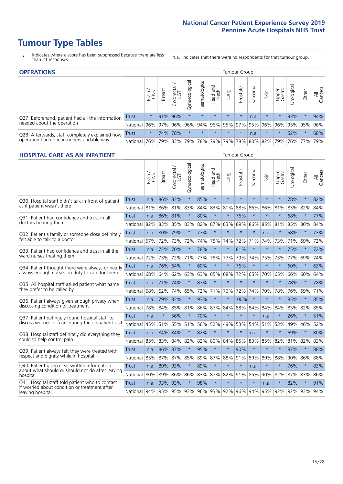- \* Indicates where a score has been suppressed because there are less than 21 responses.
- n.a. Indicates that there were no respondents for that tumour group.

| <b>OPERATIONS</b><br>Tumour Group                                                           |              |          |               |                   |                   |                |                  |                     |          |         |                                         |                 |           |         |                |
|---------------------------------------------------------------------------------------------|--------------|----------|---------------|-------------------|-------------------|----------------|------------------|---------------------|----------|---------|-----------------------------------------|-----------------|-----------|---------|----------------|
|                                                                                             |              | Brain    | <b>Breast</b> | Colorectal<br>LGT | ਨ<br>Gynaecologic | Haematological | Head and<br>Neck | <b>Dung</b>         | Prostate | Sarcoma | Skin                                    | Upper<br>Gastro | Urologica | Other   | All<br>Cancers |
| Q27. Beforehand, patient had all the information<br>needed about the operation              | <b>Trust</b> | $^\star$ |               | 91% 96%           | $\star$           | $\star$        | $\star$          | $\star$             | $\star$  | n.a.    | $\star$                                 | $\star$         | 93%       |         | 94%            |
|                                                                                             | National     |          | 96% 97%       | 96%               |                   |                |                  |                     |          |         | 96% 94% 96% 95% 97% 95% 96% 96% 95% 95% |                 |           |         | 96%            |
| Q28. Afterwards, staff completely explained how<br>operation had gone in understandable way | <b>Trust</b> | $\star$  |               | 74% 78%           | $\star$           | $\star$        | $\star$          | $\star$             | $\star$  | n.a.    | $\star$                                 |                 | 52%       | $\star$ | 68%            |
|                                                                                             | National     | 76%      |               | 79% 83%           |                   |                |                  | 79% 78% 79% 79% 78% |          |         | 80% 82% 79% 76% 77%                     |                 |           |         | 79%            |

#### **HOSPITAL CARE AS AN INPATIENT** Tumour Group

|                                                                                                   |              | Brain | <b>Breast</b> | Colorectal /<br>LGT | Gynaecological | Haematological | Head and<br>Neck | Lung        | Prostate | Sarcoma | Skin    | Upper<br>Gastro | Urological | Other   | Cancers<br>$\overline{\overline{A}}$ |
|---------------------------------------------------------------------------------------------------|--------------|-------|---------------|---------------------|----------------|----------------|------------------|-------------|----------|---------|---------|-----------------|------------|---------|--------------------------------------|
| Q30. Hospital staff didn't talk in front of patient                                               | Trust        | n.a.  | 86%           | 83%                 | $\star$        | 85%            | $\star$          | $\star$     | $\star$  | $\star$ | $\star$ | $\star$         | 78%        | $\star$ | 82%                                  |
| as if patient wasn't there                                                                        | National     | 81%   | 86%           | 81%                 | 83%            | 84%            | 83%              | 81%         | 88%      | 86%     | 86%     | 81%             | 83%        | 82%     | 84%                                  |
| 031. Patient had confidence and trust in all<br>doctors treating them                             | Trust        | n.a.  | 86% 81%       |                     |                | 80%            | $\star$          | $\star$     | 76%      | $\star$ | $\star$ |                 | 68%        | $\star$ | 77%                                  |
|                                                                                                   | National     | 82%   | 83%           | 85%                 | 83%            | 82%            |                  | 87% 83%     | 89%      | 86%     | 85%     | 81%             | 85%        | 80%     | 84%                                  |
| Q32. Patient's family or someone close definitely                                                 | <b>Trust</b> | n.a.  | 80%           | 79%                 |                | 77%            | $\star$          | $\star$     | $\star$  | $\star$ | n.a.    |                 | 58%        | $\star$ | 73%                                  |
| felt able to talk to a doctor                                                                     | National     | 67%   | 72%           | 73%                 | 72%            | 74%            | 75%              | 74%         | 72%      | 71%     | 74%     | 73%             | 71%        | 69%     | 72%                                  |
| Q33. Patient had confidence and trust in all the                                                  | <b>Trust</b> | n.a.  | 72%           | 70%                 | $\star$        | 78%            | $\star$          | $\star$     | 81%      | $\star$ | $\star$ | $\star$         | 75%        | $\star$ | 72%                                  |
| ward nurses treating them                                                                         | National     | 72%   | 73%           | 72%                 | 71%            | 77%            | 75% 77%          |             | 79%      | 74%     | 75%     | 73%             | 77%        | 69%     | 74%                                  |
| Q34. Patient thought there were always or nearly<br>always enough nurses on duty to care for them | <b>Trust</b> | n.a.  | 76%           | 64%                 | $\star$        | 60%            | $\star$          | $\star$     | 76%      | $\star$ | $\star$ | $\star$         | 60%        | $\star$ | 63%                                  |
|                                                                                                   | National     | 68%   | 64%           | 62%                 | 63%            | 63%            | 65%              | 68%         | 72%      | 65%     | 70%     | 65%             | 66%        | 60%     | 64%                                  |
| Q35. All hospital staff asked patient what name                                                   | Trust        | n.a.  | 71% 74%       |                     | $\star$        | 87%            | $\star$          | $\star$     | $\star$  | $\star$ | $\star$ | $\star$         | 78%        | $\star$ | 78%                                  |
| they prefer to be called by                                                                       | National     | 68%   | 62%           | 74%                 | 65%            | 72%            |                  | 71% 76%     | 72%      | 74%     | 70%     | 78%             | 76%        | 69%     | 71%                                  |
| Q36. Patient always given enough privacy when                                                     | Trust        | n.a.  |               | 79% 83%             | $\star$        | 93%            | $\star$          | $\star$     | 100%     | $\star$ | $\star$ | $\star$         | 85%        | $\star$ | 85%                                  |
| discussing condition or treatment                                                                 | National     | 78%   | 84%           | 85%                 | 81%            |                |                  | 86% 87% 84% | 88%      | 84%     | 84%     | 84%             | 85%        | 82%     | 85%                                  |
| Q37. Patient definitely found hospital staff to                                                   | <b>Trust</b> | n.a.  | $\star$       | 56%                 | $\star$        | 70%            | $\star$          | $\star$     | $\star$  | $\star$ | n.a.    | $\star$         | 26%        | $\star$ | 51%                                  |
| discuss worries or fears during their inpatient visit                                             | National     | 45%   | 51%           | 55%                 | 51%            | 56%            |                  | 52% 49%     | 53%      | 54%     | 51%     | 53%             | 49%        | 46%     | 52%                                  |
| Q38. Hospital staff definitely did everything they                                                | <b>Trust</b> |       | n.a. 84% 84%  |                     | $\star$        | 82%            | $\star$          | $\star$     | $\star$  | n.a.    | $\star$ | $\star$         | 69%        | $\star$ | 80%                                  |
| could to help control pain                                                                        | National     | 85%   | 83%           | 84%                 | 82%            | 82%            | 80%              | 84%         | 85%      | 83%     | 85%     | 82%             | 81%        | 82%     | 83%                                  |
| Q39. Patient always felt they were treated with                                                   | <b>Trust</b> | n.a.  | 86% 87%       |                     |                | 95%            | $\star$          | $\star$     | 90%      | $\star$ | $\star$ |                 | 87%        | $\star$ | 88%                                  |
| respect and dignity while in hospital                                                             | National     | 85%   | 87% 87%       |                     | 85%            |                | 89% 87% 88%      |             | 91%      | 89%     | 89%     | 88%             |            | 90% 86% | 88%                                  |
| Q40. Patient given clear written information<br>about what should or should not do after leaving  | Trust        | n.a.  | 89%           | 93%                 | $\star$        | 89%            | $\star$          | $\star$     | $\star$  | n.a.    | $\star$ | $\star$         | 76%        | $\star$ | 83%                                  |
| hospital                                                                                          | National     | 80%   | 89%           | 86%                 | 86%            | 83%            |                  | 87% 82%     | 91%      | 85%     | 90%     | 82%             | 87%        | 83%     | 86%                                  |
| Q41. Hospital staff told patient who to contact<br>if worried about condition or treatment after  | <b>Trust</b> | n.a.  | 93%           | 93%                 | $\star$        | 98%            | $\star$          | $\star$     | $\star$  | $\star$ | n.a.    | $\star$         | 82%        | $\star$ | 91%                                  |
| leaving hospital                                                                                  | National     | 94%   | 95% 95%       |                     | 93%            |                |                  | 96% 93% 92% |          | 96% 94% |         | 95% 92%         |            | 92% 93% | 94%                                  |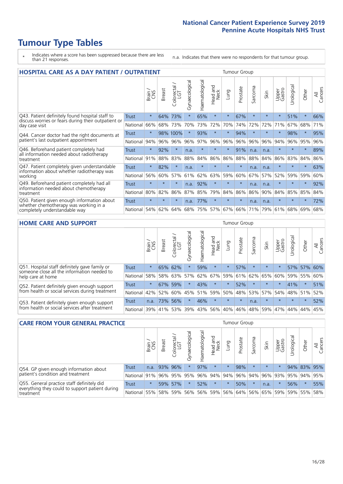- \* Indicates where a score has been suppressed because there are less than 21 responses.
- n.a. Indicates that there were no respondents for that tumour group.

| <b>HOSPITAL CARE AS A DAY PATIENT / OUTPATIENT</b><br><b>Tumour Group</b>                                                |              |         |               |                            |                |                |                                |         |          |         |         |                 |            |         |                |
|--------------------------------------------------------------------------------------------------------------------------|--------------|---------|---------------|----------------------------|----------------|----------------|--------------------------------|---------|----------|---------|---------|-----------------|------------|---------|----------------|
|                                                                                                                          |              | Brain   | <b>Breast</b> | olorectal<br>LGT<br>$\cup$ | Gynaecological | Haematological | <b>Bad and</b><br>Neck<br>Head | Lung    | Prostate | Sarcoma | Skin    | Upper<br>Gastro | Urological | Other   | All<br>Cancers |
| Q43. Patient definitely found hospital staff to<br>discuss worries or fears during their outpatient or<br>day case visit | Trust        | $\star$ | 64%           | 73%                        | $\star$        | 65%            | $\star$                        | $\star$ | 67%      | $\star$ | $\star$ | $\star$         | 51%        | $\star$ | 66%            |
|                                                                                                                          | National     | 66%     | 68%           | 73%                        | 70%            | 73%            | 72%                            | 70%     | 74%      | 72%     | 72%     | 71%             | 67%        | 68%     | 71%            |
| Q44. Cancer doctor had the right documents at<br>patient's last outpatient appointment                                   | Trust        | $\star$ |               | 98% 100%                   | $\star$        | 93%            | $\star$                        | $\star$ | 94%      | $\ast$  |         | $\star$         | 98%        | $\ast$  | 95%            |
|                                                                                                                          | National     | 94%     | 96%           | 96%                        | 96%            | 97%            | 96%                            | 96%     | 96%      | 96%     | 96%     | 94%             | 96%        | 95%     | 96%            |
| Q46. Beforehand patient completely had                                                                                   | Trust        | $\star$ | 92%           | $\star$                    | n.a.           | $\star$        | $\star$                        | $\star$ | 91%      | n.a.    | n.a.    | $\star$         | $\star$    | $\star$ | 89%            |
| all information needed about radiotherapy<br>treatment                                                                   | National     | 91%     | 88%           | 83%                        | 88%            | 84%            | 86%                            | 86%     | 88%      | 88%     | 84%     | 86%             | 83%        | 84%     | 86%            |
| Q47. Patient completely given understandable                                                                             | <b>Trust</b> | $\star$ | 82%           | $\star$                    | n.a.           | $\star$        | $\star$                        | $\star$ | $\star$  | n.a.    | n.a.    | $\star$         | $\star$    | $\star$ | 63%            |
| information about whether radiotherapy was<br>working                                                                    | National     | 56%     | 60%           | 57%                        | 61%            | 62%            | 63%                            | 59%     | 60%      | 67%     | 57%     | 52%             | 59%        | 59%     | 60%            |
| Q49. Beforehand patient completely had all                                                                               | Trust        | $\star$ | $\star$       | $\star$                    | n.a.           | 92%            | $\star$                        | $\star$ | $\star$  | n.a.    | n.a.    | $\star$         | $\star$    | $\ast$  | 92%            |
| information needed about chemotherapy<br>treatment                                                                       | National     | 80%     | 82%           | 86%                        | 87%            | 85%            | 79%                            | 84%     | 86%      | 86%     | 90%     | 84%             | 85%        | 85%     | 84%            |
| Q50. Patient given enough information about<br>whether chemotherapy was working in a<br>completely understandable way    | Trust        | $\star$ | $\star$       | $\star$                    | n.a.           | 77%            | $\star$                        | $\star$ | $\star$  | n.a.    | n.a.    | $\star$         | $\star$    | $\star$ | 72%            |
|                                                                                                                          | National     | 54%     | 62%           | 64%                        | 68%            | 75%            | 57%                            | 67%     | 66%      | 71%     | 79%     | 61%             | 68%        | 69%     | 68%            |

### **HOME CARE AND SUPPORT** Tumour Group

|                                                                                                                   |              | Brain   | <b>Breast</b> | Colorectal<br>LGT | Gynaecological | Haematological | Head and<br>Neck | Lung    | Prostate | Sarcoma | Skin    | Upper<br>Gastro | Urological | Other   | All<br>Cancers |
|-------------------------------------------------------------------------------------------------------------------|--------------|---------|---------------|-------------------|----------------|----------------|------------------|---------|----------|---------|---------|-----------------|------------|---------|----------------|
| Q51. Hospital staff definitely gave family or<br>someone close all the information needed to<br>help care at home | <b>Trust</b> | $\star$ |               | 65% 62%           |                | 59%            | $\star$          | $\star$ | 57%      | $\star$ | $\star$ | $\star$         |            | 57% 57% | 60%            |
|                                                                                                                   | National     | 58%     |               | 58% 63%           | 57%            | 62%            | 67%              | 59%     | 61%      |         | 62% 65% | 60%             | 59%        | 55%     | 60%            |
| Q52. Patient definitely given enough support<br>from health or social services during treatment                   | Trust        | $\star$ | 67% 59%       |                   | $\star$        | 43%            | $\star$          | $\star$ | 52%      | $\star$ | $\star$ | $\star$         | 41%        | $\star$ | 51%            |
|                                                                                                                   | National     | 42%     | 52%           | 60%               | 45%            | $ 51\% $       | 59%              | 50%     | 48%      | 53%     | 57%     | 54%             | 48% 51%    |         | 52%            |
| Q53. Patient definitely given enough support<br>from health or social services after treatment                    | Trust        | n.a.    | 73%           | 56%               | $\star$        | 46%            | $\star$          | $\star$ | $\star$  | n.a.    | $\star$ | $\star$         | $\star$    | $\star$ | 52%            |
|                                                                                                                   | National     | 39%     | 41% 53%       |                   | 39%            | $ 43\% $       | 56%              | 40%     | 46%      |         | 48% 59% | 47%             | 44%        | 44%     | 45%            |

| <b>CARE FROM YOUR GENERAL PRACTICE</b>                                                                     |              |         |               |                   |                |                | Tumour Group     |         |                                         |         |         |                 |           |             |                |
|------------------------------------------------------------------------------------------------------------|--------------|---------|---------------|-------------------|----------------|----------------|------------------|---------|-----------------------------------------|---------|---------|-----------------|-----------|-------------|----------------|
|                                                                                                            |              | Brain,  | <b>Breast</b> | Colorectal<br>LGT | Gynaecological | Haematological | Head and<br>Neck | Lung    | Prostate                                | Sarcoma | Skin    | Upper<br>Gastro | Urologica | Other       | All<br>Cancers |
| Q54. GP given enough information about                                                                     | Trust        | n.a.    |               | 93% 96%           | $\star$        | 97%            | $\star$          | $\star$ | 98%                                     |         | $\star$ | $\star$         |           | 94% 83% 95% |                |
| patient's condition and treatment                                                                          | National 91% |         |               | 96% 95%           | 95%            |                |                  |         | 96% 94% 94% 96% 94% 96% 93% 95% 94% 95% |         |         |                 |           |             |                |
| Q55. General practice staff definitely did<br>everything they could to support patient during<br>treatment | Trust        | $\star$ |               | 59% 57%           | $\star$        | 52%            | $\star$          | $\star$ | 50%                                     |         | n.a.    | $\star$         | 56%       | $\star$     | 55%            |
|                                                                                                            | National     | 55%     |               | 58% 59%           | 56%            |                | 56% 59%          |         | 56% 64% 56% 65% 59%                     |         |         |                 |           | 59% 55%     | 58%            |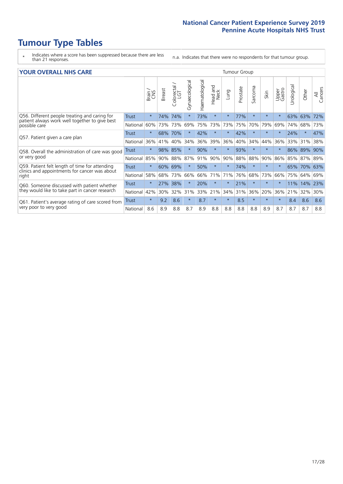- \* Indicates where a score has been suppressed because there are less than 21 responses.
- n.a. Indicates that there were no respondents for that tumour group.

### **YOUR OVERALL NHS CARE** THE TWO CONTROLLER THE THE THROUP CHANGE THE TUMOUR GROUP

|                                                                                                 |              | Brain<br>CNS | <b>Breast</b> | Colorectal<br>LGT | Gynaecological | Haematological | <b>Bad and</b><br>Neck<br>Head | Lung    | Prostate | arcoma<br>$\sqrt{ }$ | Skin    | Upper<br>Gastro | लु<br>Urologia | Other  | All<br>Cancers |
|-------------------------------------------------------------------------------------------------|--------------|--------------|---------------|-------------------|----------------|----------------|--------------------------------|---------|----------|----------------------|---------|-----------------|----------------|--------|----------------|
| Q56. Different people treating and caring for                                                   | <b>Trust</b> | $\star$      | 74%           | 74%               |                | 73%            | $\star$                        | $\star$ | 77%      | $\star$              | $\star$ | $\star$         | 63%            | 63%    | 72%            |
| patient always work well together to give best<br>possible care                                 | National     | 60%          | 73%           | 73%               | 69%            | 75%            | 73%                            | 73%     | 75%      | 70%                  | 79%     | 69%             | 74%            | 68%    | 73%            |
| Q57. Patient given a care plan                                                                  | <b>Trust</b> | $\star$      | 68%           | 70%               |                | 42%            | $\star$                        | $\star$ | 42%      | $\star$              | $\star$ | $\star$         | 24%            | $\ast$ | 47%            |
|                                                                                                 | National     | 36%          | 41%           | 40%               | 34%            | 36%            | 39%                            | 36%     | 40%      | 34%                  | 44%     | 36%             | 33%            | 31%    | 38%            |
| Q58. Overall the administration of care was good                                                | <b>Trust</b> | $\star$      | 98%           | 85%               |                | 90%            | $\star$                        | $\star$ | 93%      | $\star$              | $\star$ |                 | 86%            | 89%    | 90%            |
| or very good                                                                                    | National     | 85%          | 90%           | 88%               | 87%            | 91%            | 90%                            | 90%     | 88%      | 88%                  | 90%     | 86%             | 85%            | 87%    | 89%            |
| Q59. Patient felt length of time for attending<br>clinics and appointments for cancer was about | <b>Trust</b> | $\star$      | 60%           | 69%               |                | 50%            | $\star$                        | $\star$ | 74%      | $\star$              | $\star$ |                 | 65%            | 70%    | 63%            |
| right                                                                                           | National     | 58%          | 68%           | 73%               | 66%            | 66%            | 71%                            | 71%     | 76%      | 68%                  | 73%     | 66%             | 75%            | 64%    | 69%            |
| Q60. Someone discussed with patient whether                                                     | <b>Trust</b> | $\star$      | 27%           | 38%               |                | 20%            | $\star$                        | $\star$ | 21%      | $\star$              | $\star$ |                 | 11%            | 14%    | 23%            |
| they would like to take part in cancer research                                                 | National     | 42%          | 30%           | 32%               | 31%            | 33%            | 21%                            | 34%     | 31%      | 36%                  | 20%     | 36%             | 21%            | 32%    | 30%            |
| Q61. Patient's average rating of care scored from<br>very poor to very good                     | Trust        | $\star$      | 9.2           | 8.6               | $\star$        | 8.7            | $\ast$                         | $\star$ | 8.5      | $\star$              | $\star$ | $\star$         | 8.4            | 8.6    | 8.6            |
|                                                                                                 | National     | 8.6          | 8.9           | 8.8               | 8.7            | 8.9            | 8.8                            | 8.8     | 8.8      | 8.8                  | 8.9     | 8.7             | 8.7            | 8.7    | 8.8            |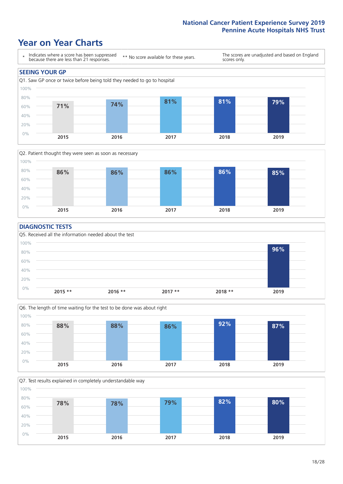### **Year on Year Charts**





#### **DIAGNOSTIC TESTS**





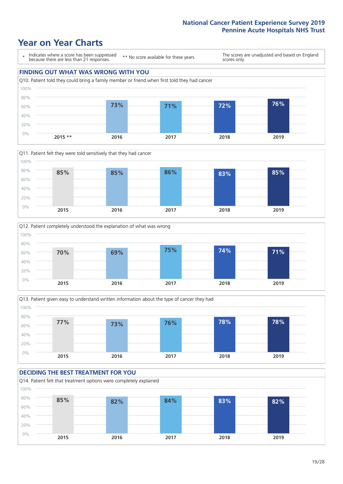







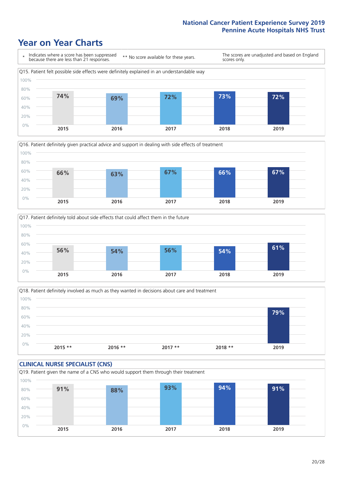





Q18. Patient definitely involved as much as they wanted in decisions about care and treatment  $0%$ 20% 40% 60% 80% 100% **2015 \*\* 2016 \*\* 2017 \*\* 2018 \*\* 2019 79%**

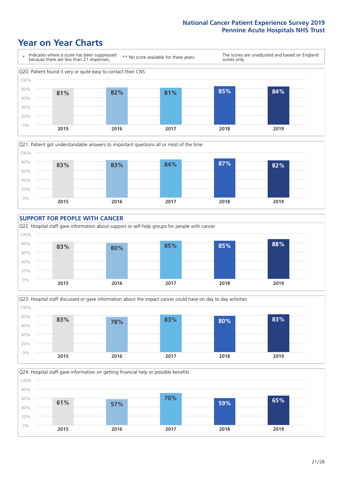









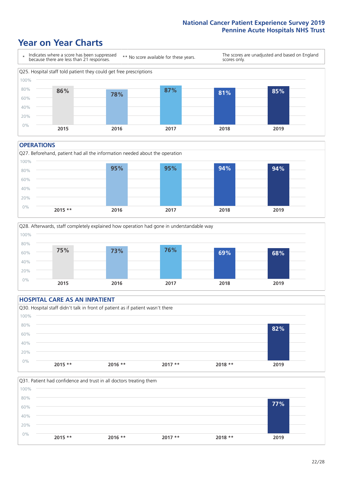### **Year on Year Charts**



#### **OPERATIONS**





#### **HOSPITAL CARE AS AN INPATIENT** Q30. Hospital staff didn't talk in front of patient as if patient wasn't there 0% 20% 40% 60% 80% 100% **2015 \*\* 2016 \*\* 2017 \*\* 2018 \*\* 2019 82%**

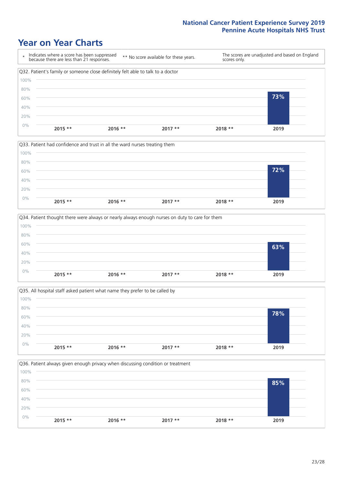







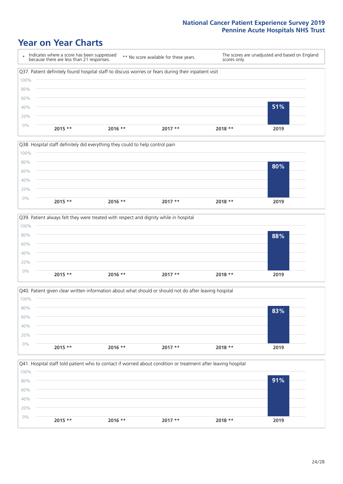







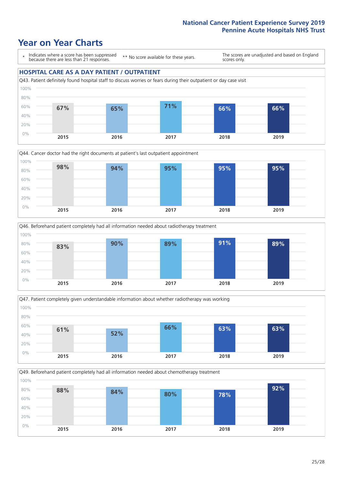### **Year on Year Charts**

\* Indicates where a score has been suppressed because there are less than 21 responses.

\*\* No score available for these years.

The scores are unadjusted and based on England scores only.

### **HOSPITAL CARE AS A DAY PATIENT / OUTPATIENT**









Q49. Beforehand patient completely had all information needed about chemotherapy treatment

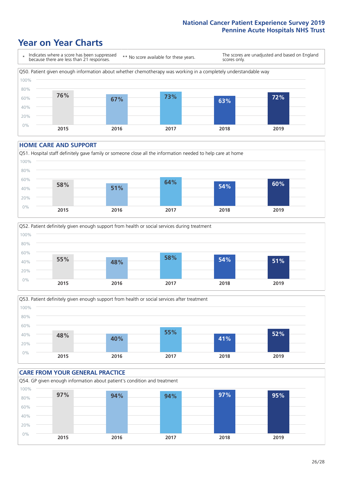### **Year on Year Charts**



#### **HOME CARE AND SUPPORT**







### **CARE FROM YOUR GENERAL PRACTICE** Q54. GP given enough information about patient's condition and treatment 0% 20% 40% 60% 80% 100% **2015 2016 2017 2018 2019 97% 94% 94% 97% 95%**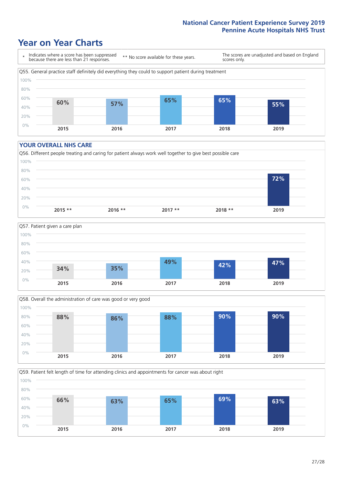### **Year on Year Charts**



#### **YOUR OVERALL NHS CARE**







Q59. Patient felt length of time for attending clinics and appointments for cancer was about right